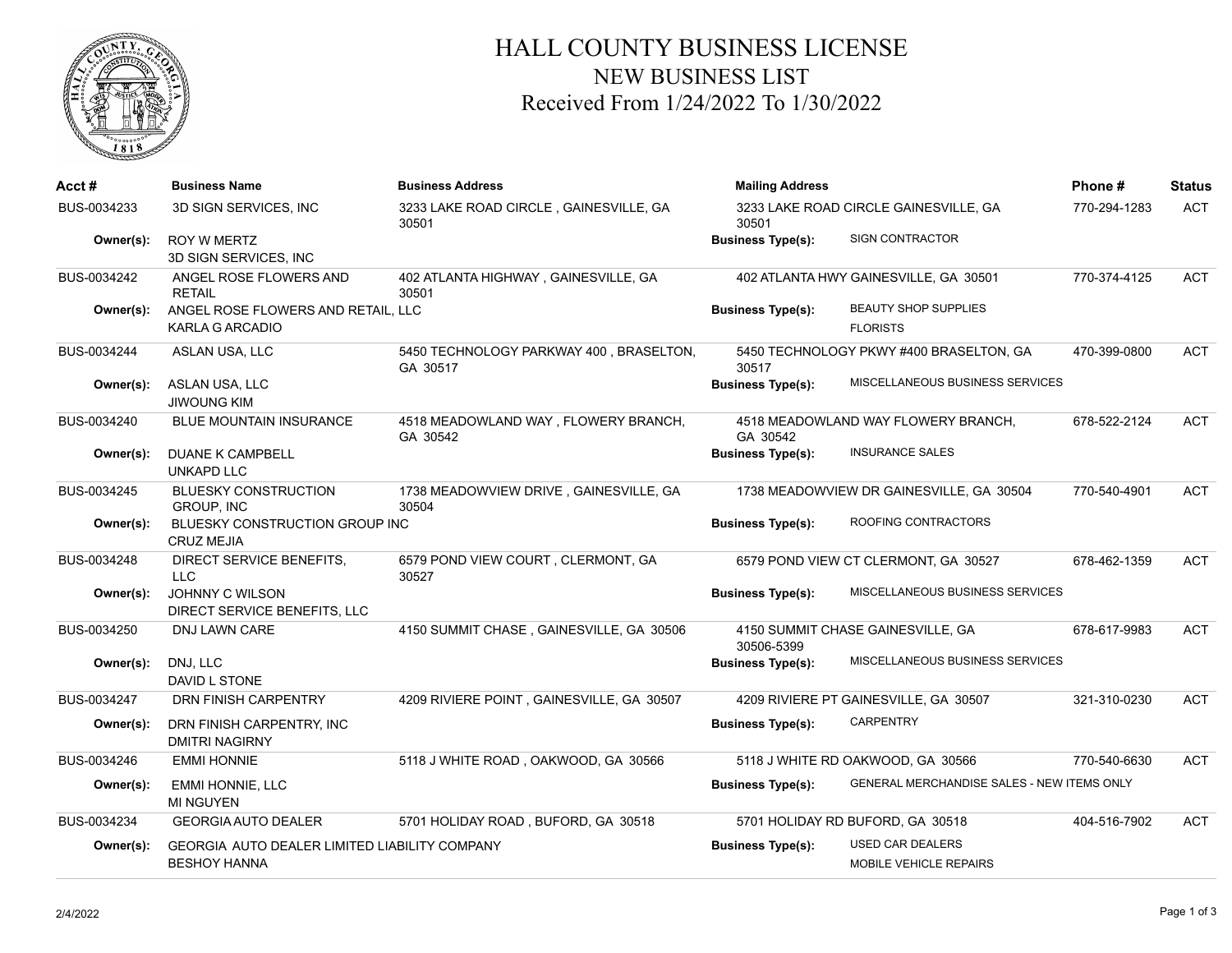

## HALL COUNTY BUSINESS LICENSE NEW BUSINESS LIST Received From 1/24/2022 To 1/30/2022

| Acct #      | <b>Business Name</b>                                                        | <b>Business Address</b>                             | <b>Mailing Address</b>                         |                                                          | Phone#       | <b>Status</b> |
|-------------|-----------------------------------------------------------------------------|-----------------------------------------------------|------------------------------------------------|----------------------------------------------------------|--------------|---------------|
| BUS-0034233 | 3D SIGN SERVICES, INC                                                       | 3233 LAKE ROAD CIRCLE, GAINESVILLE, GA<br>30501     | 3233 LAKE ROAD CIRCLE GAINESVILLE, GA<br>30501 |                                                          | 770-294-1283 | <b>ACT</b>    |
| Owner(s):   | <b>ROY W MERTZ</b><br>3D SIGN SERVICES, INC                                 |                                                     | <b>Business Type(s):</b>                       | <b>SIGN CONTRACTOR</b>                                   |              |               |
| BUS-0034242 | ANGEL ROSE FLOWERS AND<br><b>RETAIL</b>                                     | 402 ATLANTA HIGHWAY, GAINESVILLE, GA<br>30501       |                                                | 402 ATLANTA HWY GAINESVILLE, GA 30501                    | 770-374-4125 | ACT           |
| Owner(s):   | ANGEL ROSE FLOWERS AND RETAIL. LLC<br><b>KARLA G ARCADIO</b>                |                                                     | <b>Business Type(s):</b>                       | <b>BEAUTY SHOP SUPPLIES</b><br><b>FLORISTS</b>           |              |               |
| BUS-0034244 | ASLAN USA, LLC                                                              | 5450 TECHNOLOGY PARKWAY 400, BRASELTON,<br>GA 30517 | 30517                                          | 5450 TECHNOLOGY PKWY #400 BRASELTON, GA                  | 470-399-0800 | <b>ACT</b>    |
| Owner(s):   | ASLAN USA, LLC<br><b>JIWOUNG KIM</b>                                        |                                                     | <b>Business Type(s):</b>                       | MISCELLANEOUS BUSINESS SERVICES                          |              |               |
| BUS-0034240 | <b>BLUE MOUNTAIN INSURANCE</b>                                              | 4518 MEADOWLAND WAY, FLOWERY BRANCH,<br>GA 30542    | GA 30542                                       | 4518 MEADOWLAND WAY FLOWERY BRANCH,                      | 678-522-2124 | <b>ACT</b>    |
| Owner(s):   | <b>DUANE K CAMPBELL</b><br><b>UNKAPD LLC</b>                                |                                                     | <b>Business Type(s):</b>                       | <b>INSURANCE SALES</b>                                   |              |               |
| BUS-0034245 | <b>BLUESKY CONSTRUCTION</b><br><b>GROUP. INC</b>                            | 1738 MEADOWVIEW DRIVE, GAINESVILLE, GA<br>30504     |                                                | 1738 MEADOWVIEW DR GAINESVILLE, GA 30504                 | 770-540-4901 | <b>ACT</b>    |
| Owner(s):   | BLUESKY CONSTRUCTION GROUP INC<br><b>CRUZ MEJIA</b>                         |                                                     | <b>Business Type(s):</b>                       | ROOFING CONTRACTORS                                      |              |               |
| BUS-0034248 | DIRECT SERVICE BENEFITS,<br><b>LLC</b>                                      | 6579 POND VIEW COURT, CLERMONT, GA<br>30527         |                                                | 6579 POND VIEW CT CLERMONT, GA 30527                     | 678-462-1359 | <b>ACT</b>    |
| Owner(s):   | JOHNNY C WILSON<br>DIRECT SERVICE BENEFITS, LLC                             |                                                     | <b>Business Type(s):</b>                       | MISCELLANEOUS BUSINESS SERVICES                          |              |               |
| BUS-0034250 | <b>DNJ LAWN CARE</b>                                                        | 4150 SUMMIT CHASE, GAINESVILLE, GA 30506            | 30506-5399                                     | 4150 SUMMIT CHASE GAINESVILLE, GA                        | 678-617-9983 | <b>ACT</b>    |
| Owner(s):   | DNJ, LLC<br>DAVID L STONE                                                   |                                                     | <b>Business Type(s):</b>                       | MISCELLANEOUS BUSINESS SERVICES                          |              |               |
| BUS-0034247 | DRN FINISH CARPENTRY                                                        | 4209 RIVIERE POINT, GAINESVILLE, GA 30507           |                                                | 4209 RIVIERE PT GAINESVILLE, GA 30507                    | 321-310-0230 | <b>ACT</b>    |
| Owner(s):   | DRN FINISH CARPENTRY, INC<br><b>DMITRI NAGIRNY</b>                          |                                                     | <b>Business Type(s):</b>                       | <b>CARPENTRY</b>                                         |              |               |
| BUS-0034246 | <b>EMMI HONNIE</b>                                                          | 5118 J WHITE ROAD, OAKWOOD, GA 30566                |                                                | 5118 J WHITE RD OAKWOOD, GA 30566                        | 770-540-6630 | <b>ACT</b>    |
| Owner(s):   | <b>EMMI HONNIE, LLC</b><br><b>MI NGUYEN</b>                                 |                                                     | <b>Business Type(s):</b>                       | <b>GENERAL MERCHANDISE SALES - NEW ITEMS ONLY</b>        |              |               |
| BUS-0034234 | <b>GEORGIA AUTO DEALER</b>                                                  | 5701 HOLIDAY ROAD, BUFORD, GA 30518                 |                                                | 5701 HOLIDAY RD BUFORD, GA 30518                         | 404-516-7902 | <b>ACT</b>    |
| Owner(s):   | <b>GEORGIA AUTO DEALER LIMITED LIABILITY COMPANY</b><br><b>BESHOY HANNA</b> |                                                     | <b>Business Type(s):</b>                       | <b>USED CAR DEALERS</b><br><b>MOBILE VEHICLE REPAIRS</b> |              |               |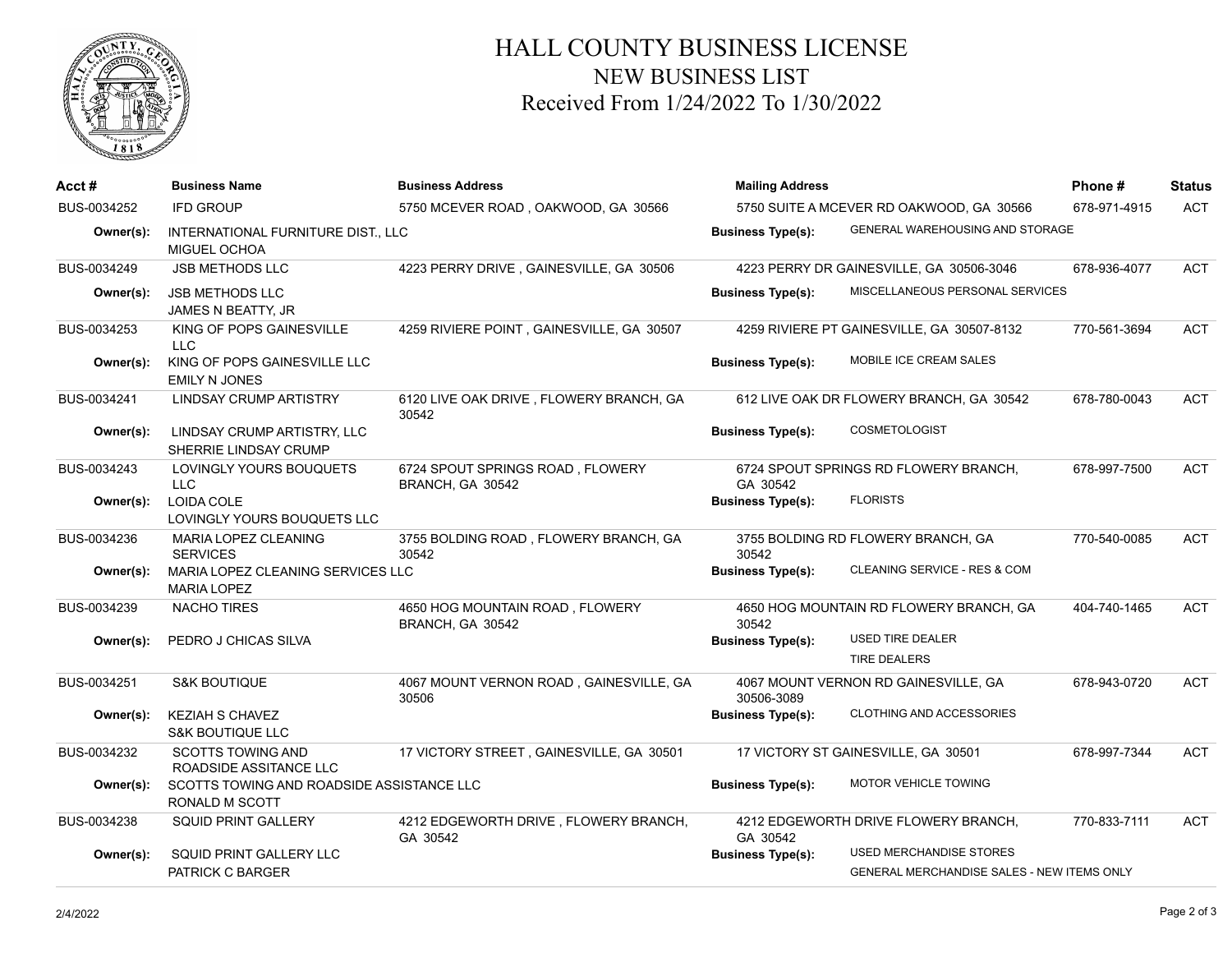

## HALL COUNTY BUSINESS LICENSE NEW BUSINESS LIST Received From 1/24/2022 To 1/30/2022

| $Acct \#$   | <b>Business Name</b>                                        | <b>Business Address</b>                              | <b>Mailing Address</b><br>5750 SUITE A MCEVER RD OAKWOOD, GA 30566 |                                                                              | Phone#<br>678-971-4915 | <b>Status</b><br><b>ACT</b> |
|-------------|-------------------------------------------------------------|------------------------------------------------------|--------------------------------------------------------------------|------------------------------------------------------------------------------|------------------------|-----------------------------|
| BUS-0034252 | <b>IFD GROUP</b>                                            | 5750 MCEVER ROAD, OAKWOOD, GA 30566                  |                                                                    |                                                                              |                        |                             |
| Owner(s):   | INTERNATIONAL FURNITURE DIST., LLC<br>MIGUEL OCHOA          |                                                      | <b>Business Type(s):</b>                                           | GENERAL WAREHOUSING AND STORAGE                                              |                        |                             |
| BUS-0034249 | JSB METHODS LLC                                             | 4223 PERRY DRIVE, GAINESVILLE, GA 30506              |                                                                    | 4223 PERRY DR GAINESVILLE, GA 30506-3046                                     | 678-936-4077           | <b>ACT</b>                  |
| Owner(s):   | <b>JSB METHODS LLC</b><br>JAMES N BEATTY, JR                |                                                      | <b>Business Type(s):</b>                                           | MISCELLANEOUS PERSONAL SERVICES                                              |                        |                             |
| BUS-0034253 | KING OF POPS GAINESVILLE<br>LLC.                            | 4259 RIVIERE POINT, GAINESVILLE, GA 30507            |                                                                    | 4259 RIVIERE PT GAINESVILLE, GA 30507-8132                                   | 770-561-3694           | <b>ACT</b>                  |
| Owner(s):   | KING OF POPS GAINESVILLE LLC<br><b>EMILY N JONES</b>        |                                                      | <b>Business Type(s):</b>                                           | MOBILE ICE CREAM SALES                                                       |                        |                             |
| BUS-0034241 | <b>LINDSAY CRUMP ARTISTRY</b>                               | 6120 LIVE OAK DRIVE, FLOWERY BRANCH, GA<br>30542     |                                                                    | 612 LIVE OAK DR FLOWERY BRANCH, GA 30542                                     | 678-780-0043           | <b>ACT</b>                  |
| Owner(s):   | LINDSAY CRUMP ARTISTRY, LLC<br>SHERRIE LINDSAY CRUMP        |                                                      | <b>Business Type(s):</b>                                           | <b>COSMETOLOGIST</b>                                                         |                        |                             |
| BUS-0034243 | LOVINGLY YOURS BOUQUETS<br><b>LLC</b>                       | 6724 SPOUT SPRINGS ROAD, FLOWERY<br>BRANCH, GA 30542 | GA 30542                                                           | 6724 SPOUT SPRINGS RD FLOWERY BRANCH,                                        | 678-997-7500           | <b>ACT</b>                  |
| Owner(s):   | LOIDA COLE<br>LOVINGLY YOURS BOUQUETS LLC                   |                                                      | <b>Business Type(s):</b>                                           | <b>FLORISTS</b>                                                              |                        |                             |
| BUS-0034236 | MARIA LOPEZ CLEANING<br><b>SERVICES</b>                     | 3755 BOLDING ROAD, FLOWERY BRANCH, GA<br>30542       | 30542                                                              | 3755 BOLDING RD FLOWERY BRANCH, GA                                           | 770-540-0085           | <b>ACT</b>                  |
| Owner(s):   | MARIA LOPEZ CLEANING SERVICES LLC<br><b>MARIA LOPEZ</b>     |                                                      | <b>Business Type(s):</b>                                           | CLEANING SERVICE - RES & COM                                                 |                        |                             |
| BUS-0034239 | <b>NACHO TIRES</b>                                          | 4650 HOG MOUNTAIN ROAD, FLOWERY<br>BRANCH, GA 30542  | 4650 HOG MOUNTAIN RD FLOWERY BRANCH, GA<br>30542                   |                                                                              | 404-740-1465           | ACT                         |
| Owner(s):   | PEDRO J CHICAS SILVA                                        |                                                      | <b>Business Type(s):</b>                                           | <b>USED TIRE DEALER</b><br><b>TIRE DEALERS</b>                               |                        |                             |
| BUS-0034251 | <b>S&amp;K BOUTIQUE</b>                                     | 4067 MOUNT VERNON ROAD, GAINESVILLE, GA<br>30506     | 30506-3089                                                         | 4067 MOUNT VERNON RD GAINESVILLE, GA                                         | 678-943-0720           | <b>ACT</b>                  |
| Owner(s):   | <b>KEZIAH S CHAVEZ</b><br><b>S&amp;K BOUTIQUE LLC</b>       |                                                      | <b>Business Type(s):</b>                                           | <b>CLOTHING AND ACCESSORIES</b>                                              |                        |                             |
| BUS-0034232 | <b>SCOTTS TOWING AND</b><br>ROADSIDE ASSITANCE LLC          | 17 VICTORY STREET, GAINESVILLE, GA 30501             |                                                                    | 17 VICTORY ST GAINESVILLE, GA 30501                                          | 678-997-7344           | ACT                         |
| Owner(s):   | SCOTTS TOWING AND ROADSIDE ASSISTANCE LLC<br>RONALD M SCOTT |                                                      | <b>Business Type(s):</b>                                           | <b>MOTOR VEHICLE TOWING</b>                                                  |                        |                             |
| BUS-0034238 | <b>SQUID PRINT GALLERY</b>                                  | 4212 EDGEWORTH DRIVE, FLOWERY BRANCH,<br>GA 30542    | GA 30542                                                           | 4212 EDGEWORTH DRIVE FLOWERY BRANCH,                                         | 770-833-7111           | ACT                         |
| Owner(s):   | SQUID PRINT GALLERY LLC<br>PATRICK C BARGER                 |                                                      | <b>Business Type(s):</b>                                           | USED MERCHANDISE STORES<br><b>GENERAL MERCHANDISE SALES - NEW ITEMS ONLY</b> |                        |                             |